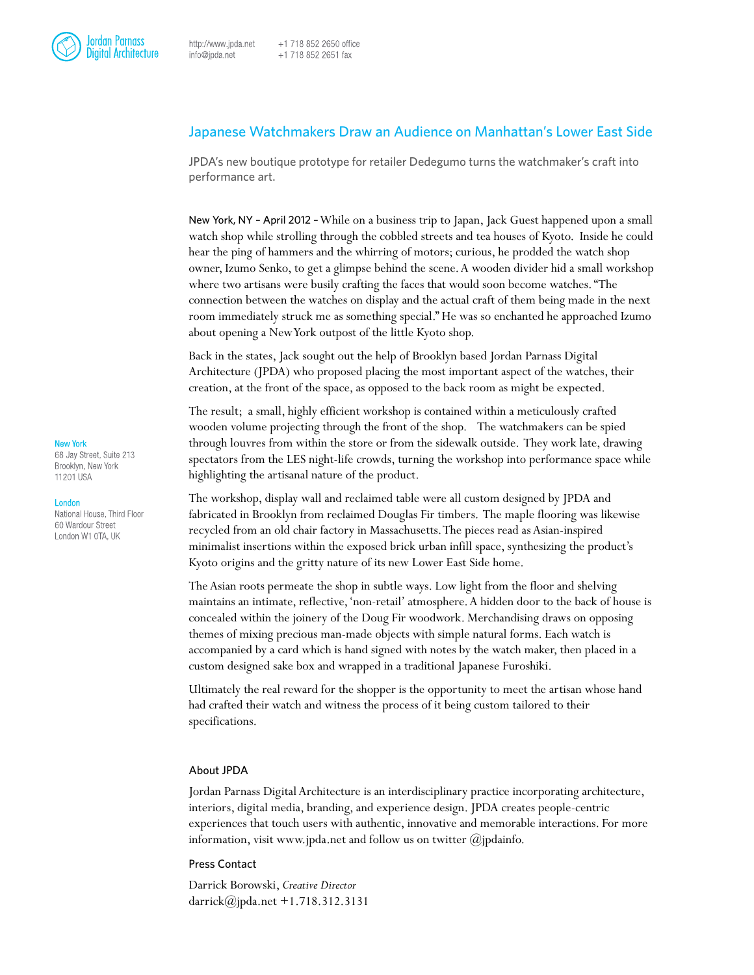# Japanese Watchmakers Draw an Audience on Manhattan's Lower East Side

JPDA's new boutique prototype for retailer Dedegumo turns the watchmaker's craft into performance art.

New York, NY – April 2012 – While on a business trip to Japan, Jack Guest happened upon a small watch shop while strolling through the cobbled streets and tea houses of Kyoto. Inside he could hear the ping of hammers and the whirring of motors; curious, he prodded the watch shop owner, Izumo Senko, to get a glimpse behind the scene. A wooden divider hid a small workshop where two artisans were busily crafting the faces that would soon become watches. "The connection between the watches on display and the actual craft of them being made in the next room immediately struck me as something special." He was so enchanted he approached Izumo about opening a New York outpost of the little Kyoto shop.

Back in the states, Jack sought out the help of Brooklyn based Jordan Parnass Digital Architecture (JPDA) who proposed placing the most important aspect of the watches, their creation, at the front of the space, as opposed to the back room as might be expected.

The result; a small, highly efficient workshop is contained within a meticulously crafted wooden volume projecting through the front of the shop. The watchmakers can be spied through louvres from within the store or from the sidewalk outside. They work late, drawing spectators from the LES night-life crowds, turning the workshop into performance space while highlighting the artisanal nature of the product.

The workshop, display wall and reclaimed table were all custom designed by JPDA and fabricated in Brooklyn from reclaimed Douglas Fir timbers. The maple flooring was likewise recycled from an old chair factory in Massachusetts. The pieces read as Asian-inspired minimalist insertions within the exposed brick urban infill space, synthesizing the product's Kyoto origins and the gritty nature of its new Lower East Side home.

The Asian roots permeate the shop in subtle ways. Low light from the floor and shelving maintains an intimate, reflective, 'non-retail' atmosphere. A hidden door to the back of house is concealed within the joinery of the Doug Fir woodwork. Merchandising draws on opposing themes of mixing precious man-made objects with simple natural forms. Each watch is accompanied by a card which is hand signed with notes by the watch maker, then placed in a custom designed sake box and wrapped in a traditional Japanese Furoshiki.

Ultimately the real reward for the shopper is the opportunity to meet the artisan whose hand had crafted their watch and witness the process of it being custom tailored to their specifications.

# About JPDA

Jordan Parnass Digital Architecture is an interdisciplinary practice incorporating architecture, interiors, digital media, branding, and experience design. JPDA creates people-centric experiences that touch users with authentic, innovative and memorable interactions. For more information, visit www.jpda.net and follow us on twitter  $(\partial_j)$  pdainfo.

## Press Contact

Darrick Borowski, *Creative Director* darrick@jpda.net +1.718.312.3131

### **New York**

68 Jay Street, Suite 213 Brooklyn, New York 11201 USA

### London

National House, Third Floor 60 Wardour Street London W1 OTA, UK